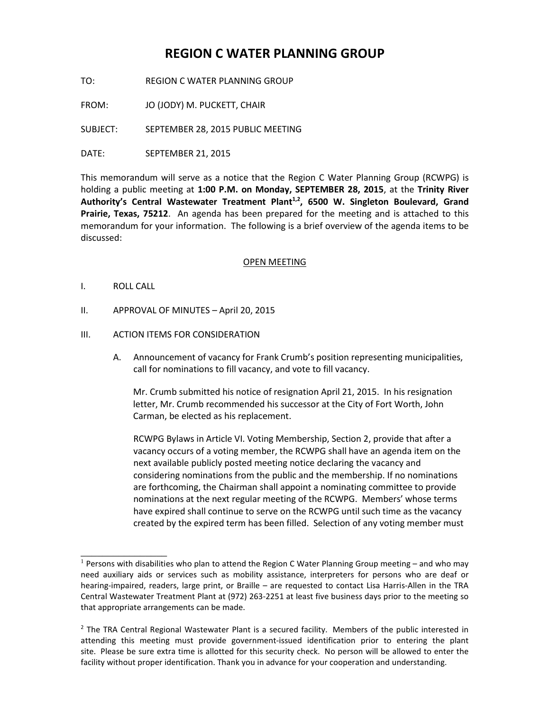# **REGION C WATER PLANNING GROUP**

TO: REGION C WATER PLANNING GROUP

FROM: JO (JODY) M. PUCKETT, CHAIR

SUBJECT: SEPTEMBER 28, 2015 PUBLIC MEETING

DATE: SEPTEMBER 21, 2015

This memorandum will serve as a notice that the Region C Water Planning Group (RCWPG) is holding a public meeting at **1:00 P.M. on Monday, SEPTEMBER 28, 2015**, at the **Trinity River**  Authority's Central Wastewater Treatment Plant<sup>1,2</sup>, 6500 W. Singleton Boulevard, Grand **Prairie, Texas, 75212**. An agenda has been prepared for the meeting and is attached to this memorandum for your information. The following is a brief overview of the agenda items to be discussed:

## OPEN MEETING

I. ROLL CALL

\_\_\_\_\_\_\_\_\_\_\_\_\_\_\_\_

II. APPROVAL OF MINUTES – April 20, 2015

## III. ACTION ITEMS FOR CONSIDERATION

A. Announcement of vacancy for Frank Crumb's position representing municipalities, call for nominations to fill vacancy, and vote to fill vacancy.

Mr. Crumb submitted his notice of resignation April 21, 2015. In his resignation letter, Mr. Crumb recommended his successor at the City of Fort Worth, John Carman, be elected as his replacement.

RCWPG Bylaws in Article VI. Voting Membership, Section 2, provide that after a vacancy occurs of a voting member, the RCWPG shall have an agenda item on the next available publicly posted meeting notice declaring the vacancy and considering nominations from the public and the membership. If no nominations are forthcoming, the Chairman shall appoint a nominating committee to provide nominations at the next regular meeting of the RCWPG. Members' whose terms have expired shall continue to serve on the RCWPG until such time as the vacancy created by the expired term has been filled. Selection of any voting member must

 $1$  Persons with disabilities who plan to attend the Region C Water Planning Group meeting – and who may need auxiliary aids or services such as mobility assistance, interpreters for persons who are deaf or hearing-impaired, readers, large print, or Braille – are requested to contact Lisa Harris-Allen in the TRA Central Wastewater Treatment Plant at (972) 263-2251 at least five business days prior to the meeting so that appropriate arrangements can be made.

<sup>&</sup>lt;sup>2</sup> The TRA Central Regional Wastewater Plant is a secured facility. Members of the public interested in attending this meeting must provide government-issued identification prior to entering the plant site. Please be sure extra time is allotted for this security check. No person will be allowed to enter the facility without proper identification. Thank you in advance for your cooperation and understanding.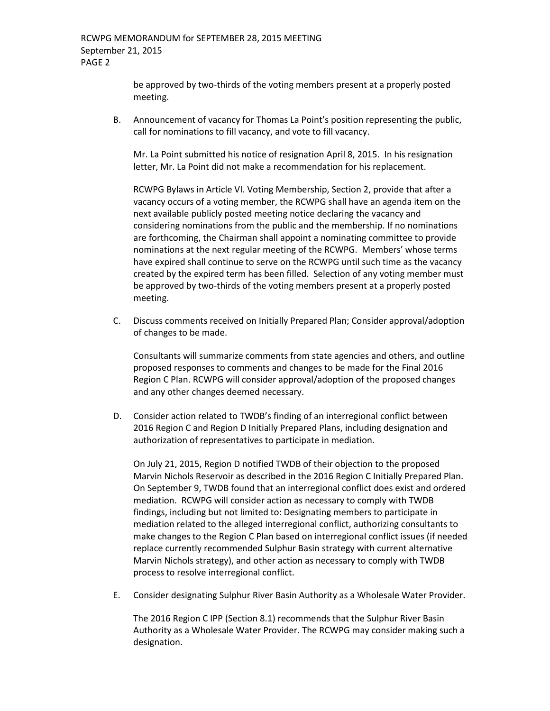be approved by two-thirds of the voting members present at a properly posted meeting.

B. Announcement of vacancy for Thomas La Point's position representing the public, call for nominations to fill vacancy, and vote to fill vacancy.

Mr. La Point submitted his notice of resignation April 8, 2015. In his resignation letter, Mr. La Point did not make a recommendation for his replacement.

RCWPG Bylaws in Article VI. Voting Membership, Section 2, provide that after a vacancy occurs of a voting member, the RCWPG shall have an agenda item on the next available publicly posted meeting notice declaring the vacancy and considering nominations from the public and the membership. If no nominations are forthcoming, the Chairman shall appoint a nominating committee to provide nominations at the next regular meeting of the RCWPG. Members' whose terms have expired shall continue to serve on the RCWPG until such time as the vacancy created by the expired term has been filled. Selection of any voting member must be approved by two-thirds of the voting members present at a properly posted meeting.

C. Discuss comments received on Initially Prepared Plan; Consider approval/adoption of changes to be made.

Consultants will summarize comments from state agencies and others, and outline proposed responses to comments and changes to be made for the Final 2016 Region C Plan. RCWPG will consider approval/adoption of the proposed changes and any other changes deemed necessary.

D. Consider action related to TWDB's finding of an interregional conflict between 2016 Region C and Region D Initially Prepared Plans, including designation and authorization of representatives to participate in mediation.

On July 21, 2015, Region D notified TWDB of their objection to the proposed Marvin Nichols Reservoir as described in the 2016 Region C Initially Prepared Plan. On September 9, TWDB found that an interregional conflict does exist and ordered mediation. RCWPG will consider action as necessary to comply with TWDB findings, including but not limited to: Designating members to participate in mediation related to the alleged interregional conflict, authorizing consultants to make changes to the Region C Plan based on interregional conflict issues (if needed replace currently recommended Sulphur Basin strategy with current alternative Marvin Nichols strategy), and other action as necessary to comply with TWDB process to resolve interregional conflict.

E. Consider designating Sulphur River Basin Authority as a Wholesale Water Provider.

The 2016 Region C IPP (Section 8.1) recommends that the Sulphur River Basin Authority as a Wholesale Water Provider. The RCWPG may consider making such a designation.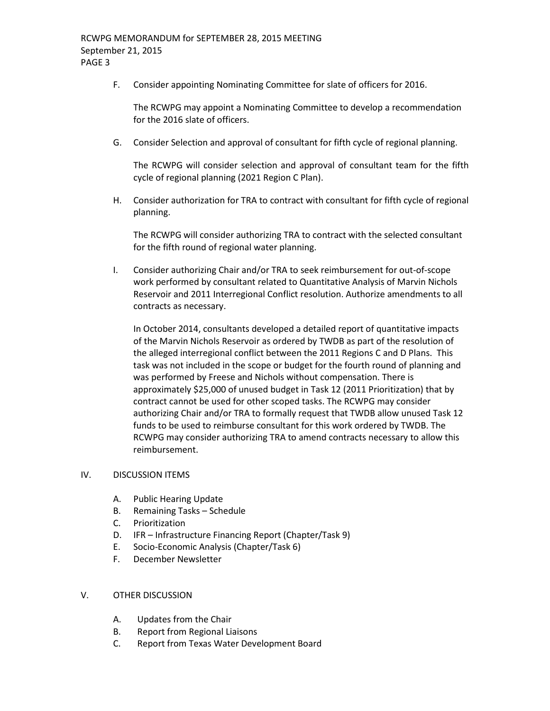F. Consider appointing Nominating Committee for slate of officers for 2016.

The RCWPG may appoint a Nominating Committee to develop a recommendation for the 2016 slate of officers.

G. Consider Selection and approval of consultant for fifth cycle of regional planning.

The RCWPG will consider selection and approval of consultant team for the fifth cycle of regional planning (2021 Region C Plan).

H. Consider authorization for TRA to contract with consultant for fifth cycle of regional planning.

The RCWPG will consider authorizing TRA to contract with the selected consultant for the fifth round of regional water planning.

I. Consider authorizing Chair and/or TRA to seek reimbursement for out-of-scope work performed by consultant related to Quantitative Analysis of Marvin Nichols Reservoir and 2011 Interregional Conflict resolution. Authorize amendments to all contracts as necessary.

In October 2014, consultants developed a detailed report of quantitative impacts of the Marvin Nichols Reservoir as ordered by TWDB as part of the resolution of the alleged interregional conflict between the 2011 Regions C and D Plans. This task was not included in the scope or budget for the fourth round of planning and was performed by Freese and Nichols without compensation. There is approximately \$25,000 of unused budget in Task 12 (2011 Prioritization) that by contract cannot be used for other scoped tasks. The RCWPG may consider authorizing Chair and/or TRA to formally request that TWDB allow unused Task 12 funds to be used to reimburse consultant for this work ordered by TWDB. The RCWPG may consider authorizing TRA to amend contracts necessary to allow this reimbursement.

## IV. DISCUSSION ITEMS

- A. Public Hearing Update
- B. Remaining Tasks Schedule
- C. Prioritization
- D. IFR Infrastructure Financing Report (Chapter/Task 9)
- E. Socio-Economic Analysis (Chapter/Task 6)
- F. December Newsletter

## V. OTHER DISCUSSION

- A. Updates from the Chair
- B. Report from Regional Liaisons
- C. Report from Texas Water Development Board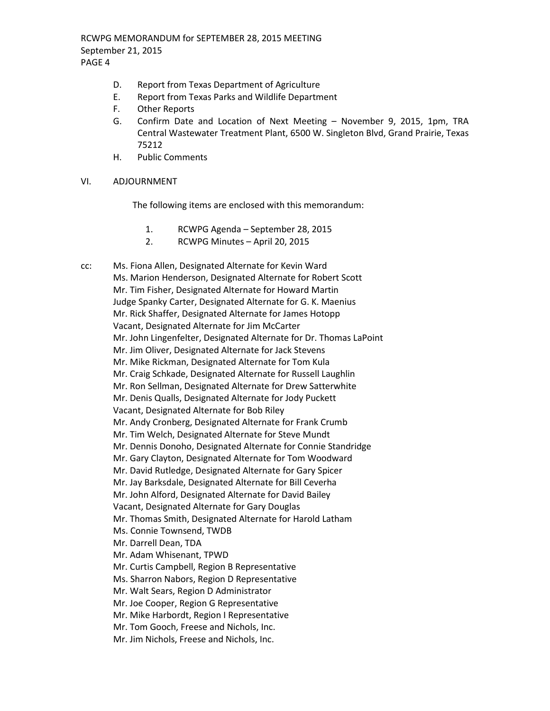RCWPG MEMORANDUM for SEPTEMBER 28, 2015 MEETING September 21, 2015 PAGE 4

- D. Report from Texas Department of Agriculture
- E. Report from Texas Parks and Wildlife Department
- F. Other Reports
- G. Confirm Date and Location of Next Meeting November 9, 2015, 1pm, TRA Central Wastewater Treatment Plant, 6500 W. Singleton Blvd, Grand Prairie, Texas 75212
- H. Public Comments

## VI. ADJOURNMENT

The following items are enclosed with this memorandum:

- 1. RCWPG Agenda September 28, 2015
- 2. RCWPG Minutes April 20, 2015

cc: Ms. Fiona Allen, Designated Alternate for Kevin Ward Ms. Marion Henderson, Designated Alternate for Robert Scott Mr. Tim Fisher, Designated Alternate for Howard Martin Judge Spanky Carter, Designated Alternate for G. K. Maenius Mr. Rick Shaffer, Designated Alternate for James Hotopp Vacant, Designated Alternate for Jim McCarter Mr. John Lingenfelter, Designated Alternate for Dr. Thomas LaPoint Mr. Jim Oliver, Designated Alternate for Jack Stevens Mr. Mike Rickman, Designated Alternate for Tom Kula Mr. Craig Schkade, Designated Alternate for Russell Laughlin Mr. Ron Sellman, Designated Alternate for Drew Satterwhite Mr. Denis Qualls, Designated Alternate for Jody Puckett Vacant, Designated Alternate for Bob Riley Mr. Andy Cronberg, Designated Alternate for Frank Crumb Mr. Tim Welch, Designated Alternate for Steve Mundt Mr. Dennis Donoho, Designated Alternate for Connie Standridge Mr. Gary Clayton, Designated Alternate for Tom Woodward Mr. David Rutledge, Designated Alternate for Gary Spicer Mr. Jay Barksdale, Designated Alternate for Bill Ceverha Mr. John Alford, Designated Alternate for David Bailey Vacant, Designated Alternate for Gary Douglas Mr. Thomas Smith, Designated Alternate for Harold Latham Ms. Connie Townsend, TWDB Mr. Darrell Dean, TDA Mr. Adam Whisenant, TPWD Mr. Curtis Campbell, Region B Representative Ms. Sharron Nabors, Region D Representative Mr. Walt Sears, Region D Administrator Mr. Joe Cooper, Region G Representative Mr. Mike Harbordt, Region I Representative Mr. Tom Gooch, Freese and Nichols, Inc. Mr. Jim Nichols, Freese and Nichols, Inc.